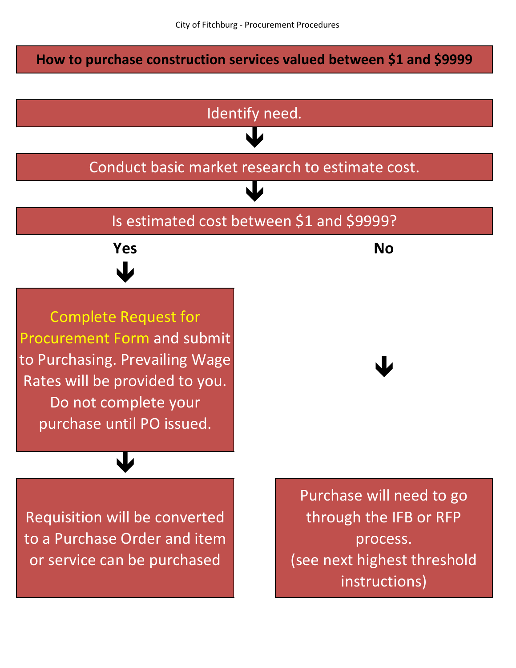## **How to purchase construction services valued between \$1 and \$9999**

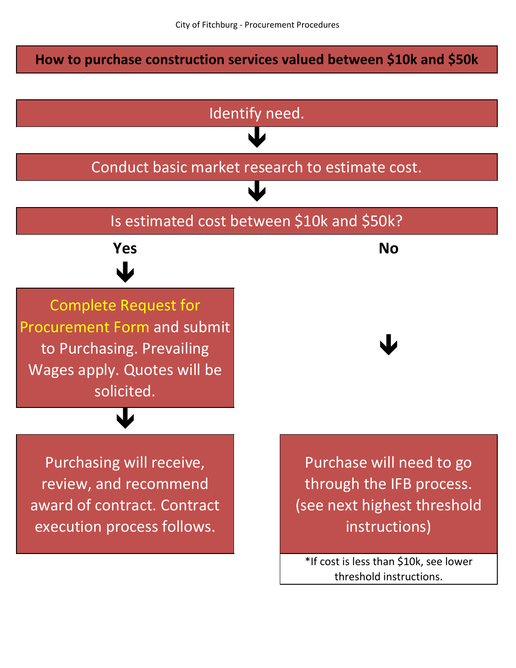## **How to purchase construction services valued between \$10k and \$50k**

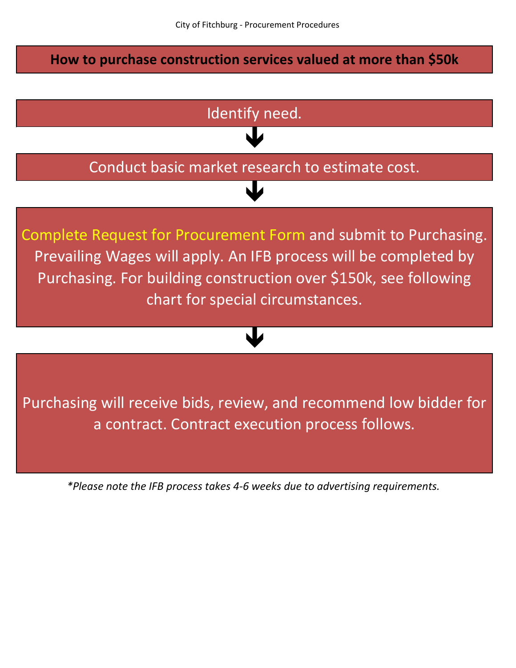**How to purchase construction services valued at more than \$50k**



*\*Please note the IFB process takes 4-6 weeks due to advertising requirements.*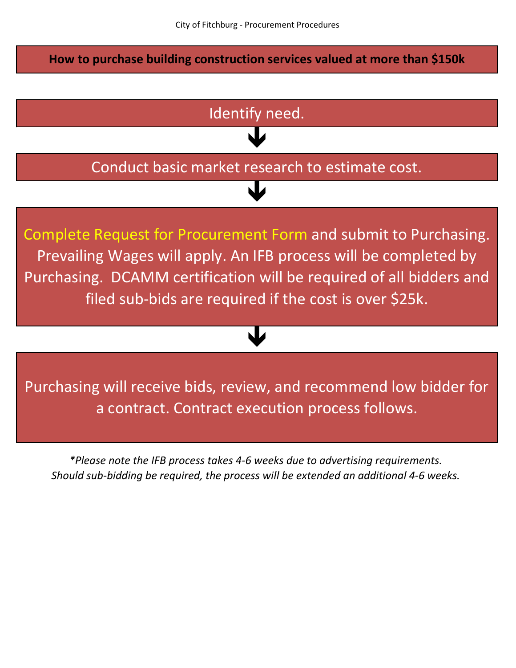**How to purchase building construction services valued at more than \$150k**



*\*Please note the IFB process takes 4-6 weeks due to advertising requirements. Should sub-bidding be required, the process will be extended an additional 4-6 weeks.*